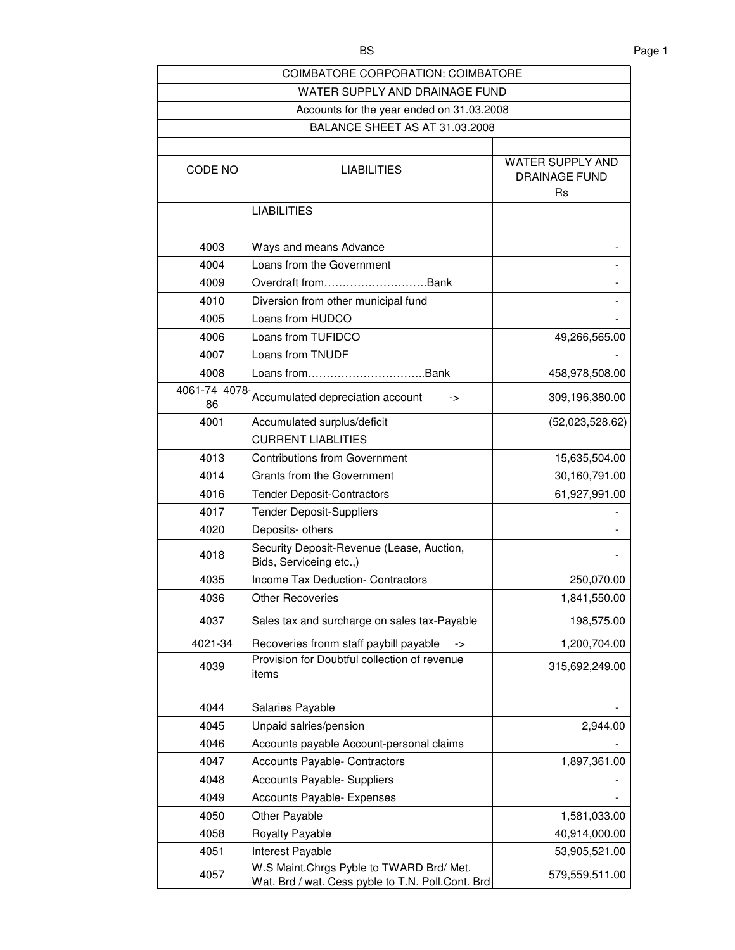| . . |        | . .     |
|-----|--------|---------|
| I   | ×<br>× |         |
| I   | ×      | I<br>۰, |

| COIMBATORE CORPORATION: COIMBATORE        |                                                                                               |                                          |  |  |
|-------------------------------------------|-----------------------------------------------------------------------------------------------|------------------------------------------|--|--|
| WATER SUPPLY AND DRAINAGE FUND            |                                                                                               |                                          |  |  |
| Accounts for the year ended on 31.03.2008 |                                                                                               |                                          |  |  |
| BALANCE SHEET AS AT 31.03.2008            |                                                                                               |                                          |  |  |
|                                           |                                                                                               |                                          |  |  |
| CODE NO                                   | <b>LIABILITIES</b>                                                                            | WATER SUPPLY AND<br><b>DRAINAGE FUND</b> |  |  |
|                                           |                                                                                               | Rs                                       |  |  |
|                                           | <b>LIABILITIES</b>                                                                            |                                          |  |  |
|                                           |                                                                                               |                                          |  |  |
| 4003                                      | Ways and means Advance                                                                        |                                          |  |  |
| 4004                                      | Loans from the Government                                                                     |                                          |  |  |
| 4009                                      | Overdraft fromBank                                                                            |                                          |  |  |
| 4010                                      | Diversion from other municipal fund                                                           |                                          |  |  |
| 4005                                      | Loans from HUDCO                                                                              |                                          |  |  |
| 4006                                      | Loans from TUFIDCO                                                                            | 49,266,565.00                            |  |  |
| 4007                                      | Loans from TNUDF                                                                              |                                          |  |  |
| 4008                                      |                                                                                               | 458,978,508.00                           |  |  |
| 4061-74 4078<br>86                        | Accumulated depreciation account<br>->                                                        | 309,196,380.00                           |  |  |
| 4001                                      | Accumulated surplus/deficit                                                                   | (52,023,528.62)                          |  |  |
|                                           | <b>CURRENT LIABLITIES</b>                                                                     |                                          |  |  |
| 4013                                      | <b>Contributions from Government</b>                                                          | 15,635,504.00                            |  |  |
| 4014                                      | <b>Grants from the Government</b>                                                             | 30,160,791.00                            |  |  |
| 4016                                      | <b>Tender Deposit-Contractors</b>                                                             | 61,927,991.00                            |  |  |
| 4017                                      | <b>Tender Deposit-Suppliers</b>                                                               |                                          |  |  |
| 4020                                      | Deposits- others                                                                              |                                          |  |  |
| 4018                                      | Security Deposit-Revenue (Lease, Auction,<br>Bids, Serviceing etc.,)                          |                                          |  |  |
| 4035                                      | Income Tax Deduction- Contractors                                                             | 250,070.00                               |  |  |
| 4036                                      | <b>Other Recoveries</b>                                                                       | 1,841,550.00                             |  |  |
| 4037                                      | Sales tax and surcharge on sales tax-Payable                                                  | 198,575.00                               |  |  |
| 4021-34                                   | Recoveries fronm staff paybill payable<br>->                                                  | 1,200,704.00                             |  |  |
| 4039                                      | Provision for Doubtful collection of revenue<br>items                                         | 315,692,249.00                           |  |  |
| 4044                                      | Salaries Payable                                                                              |                                          |  |  |
| 4045                                      | Unpaid salries/pension                                                                        | 2,944.00                                 |  |  |
| 4046                                      | Accounts payable Account-personal claims                                                      |                                          |  |  |
| 4047                                      | Accounts Payable- Contractors                                                                 | 1,897,361.00                             |  |  |
| 4048                                      | <b>Accounts Payable- Suppliers</b>                                                            |                                          |  |  |
| 4049                                      | Accounts Payable- Expenses                                                                    |                                          |  |  |
| 4050                                      | Other Payable                                                                                 | 1,581,033.00                             |  |  |
| 4058                                      | <b>Royalty Payable</b>                                                                        | 40,914,000.00                            |  |  |
| 4051                                      | Interest Payable                                                                              | 53,905,521.00                            |  |  |
| 4057                                      | W.S Maint.Chrgs Pyble to TWARD Brd/ Met.<br>Wat. Brd / wat. Cess pyble to T.N. Poll.Cont. Brd | 579,559,511.00                           |  |  |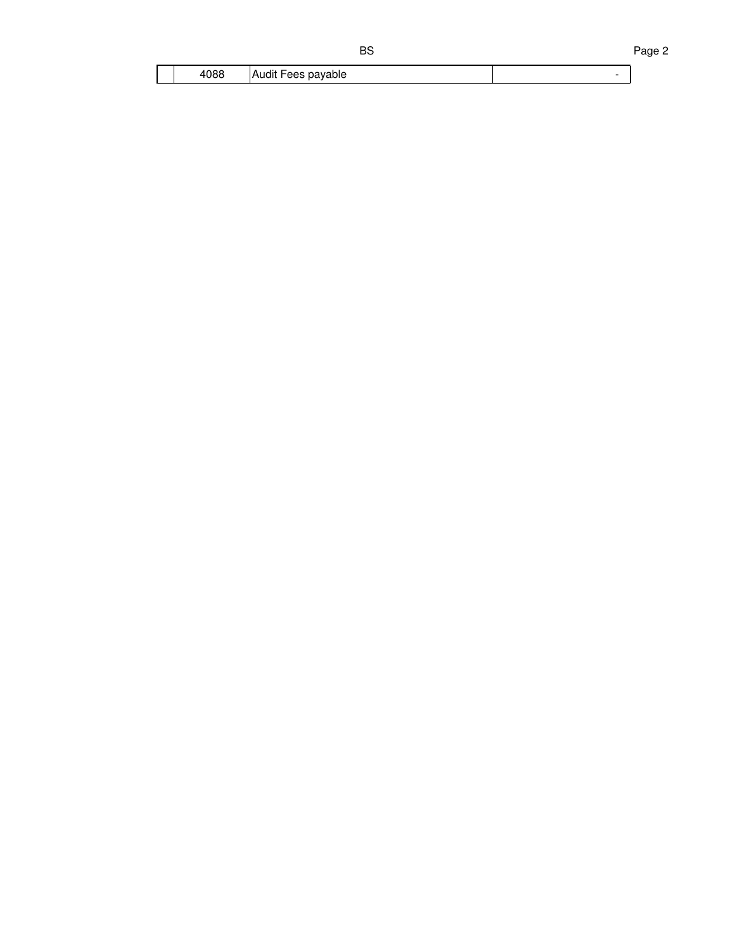| م م م<br>סט | oayable<br>αρα- |  |
|-------------|-----------------|--|
|             |                 |  |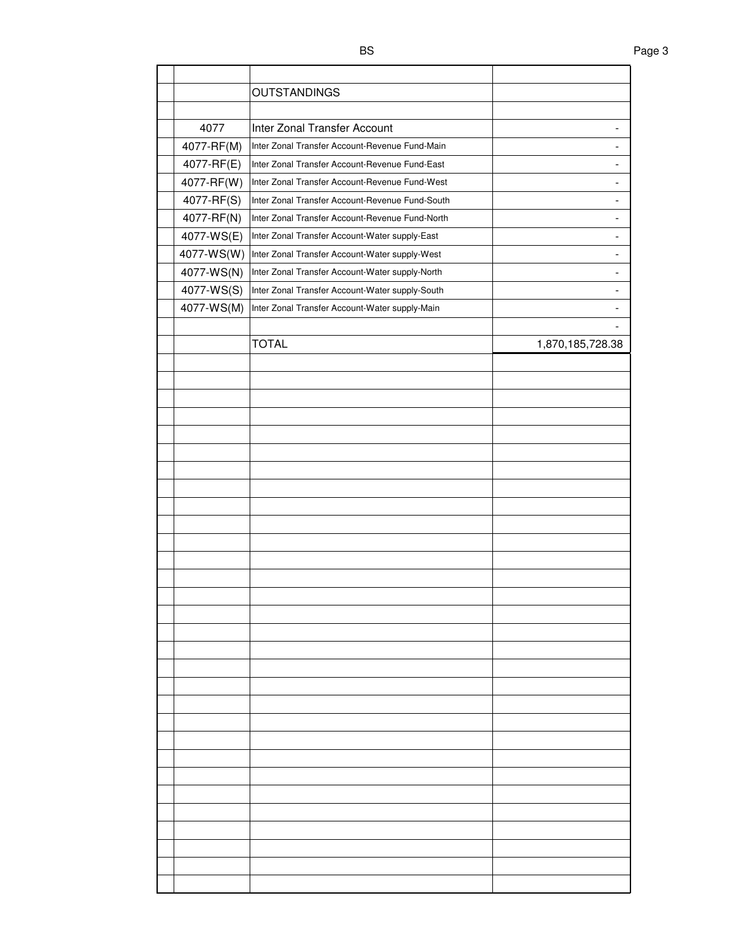|            | <b>OUTSTANDINGS</b>                             |                  |
|------------|-------------------------------------------------|------------------|
|            |                                                 |                  |
| 4077       | Inter Zonal Transfer Account                    |                  |
| 4077-RF(M) | Inter Zonal Transfer Account-Revenue Fund-Main  |                  |
| 4077-RF(E) | Inter Zonal Transfer Account-Revenue Fund-East  |                  |
| 4077-RF(W) | Inter Zonal Transfer Account-Revenue Fund-West  |                  |
| 4077-RF(S) | Inter Zonal Transfer Account-Revenue Fund-South |                  |
| 4077-RF(N) | Inter Zonal Transfer Account-Revenue Fund-North |                  |
| 4077-WS(E) | Inter Zonal Transfer Account-Water supply-East  |                  |
| 4077-WS(W) | Inter Zonal Transfer Account-Water supply-West  |                  |
| 4077-WS(N) | Inter Zonal Transfer Account-Water supply-North |                  |
| 4077-WS(S) | Inter Zonal Transfer Account-Water supply-South |                  |
| 4077-WS(M) | Inter Zonal Transfer Account-Water supply-Main  |                  |
|            |                                                 |                  |
|            | <b>TOTAL</b>                                    | 1,870,185,728.38 |
|            |                                                 |                  |
|            |                                                 |                  |
|            |                                                 |                  |
|            |                                                 |                  |
|            |                                                 |                  |
|            |                                                 |                  |
|            |                                                 |                  |
|            |                                                 |                  |
|            |                                                 |                  |
|            |                                                 |                  |
|            |                                                 |                  |
|            |                                                 |                  |
|            |                                                 |                  |
|            |                                                 |                  |
|            |                                                 |                  |
|            |                                                 |                  |
|            |                                                 |                  |
|            |                                                 |                  |
|            |                                                 |                  |
|            |                                                 |                  |
|            |                                                 |                  |
|            |                                                 |                  |
|            |                                                 |                  |
|            |                                                 |                  |
|            |                                                 |                  |
|            |                                                 |                  |
|            |                                                 |                  |
|            |                                                 |                  |
|            |                                                 |                  |
|            |                                                 |                  |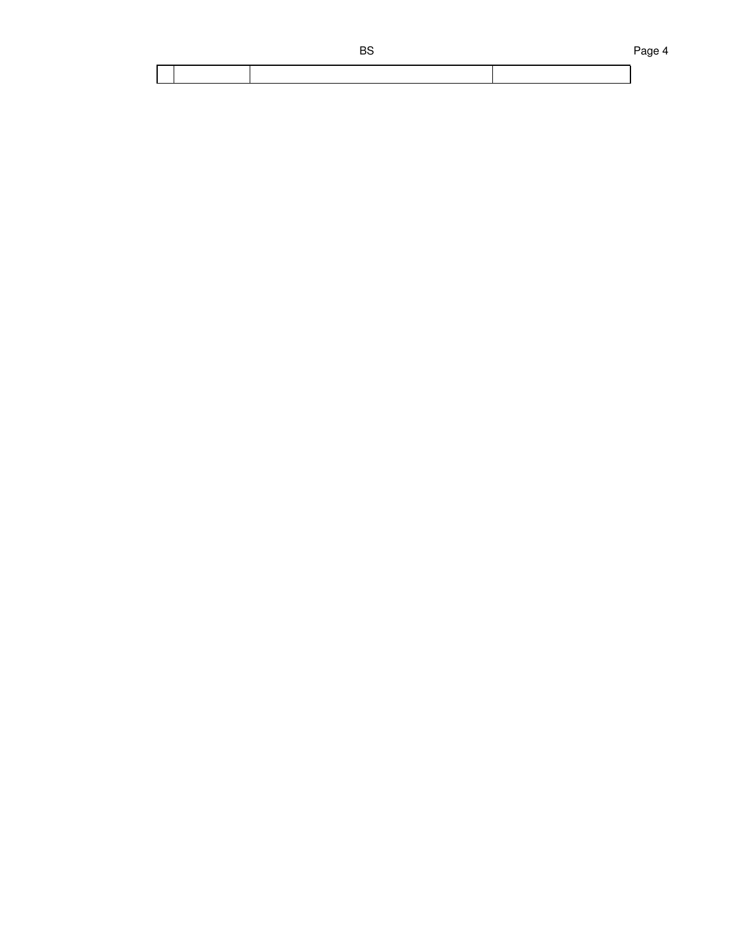| ്പ |  | Page 4 |  |  |
|----|--|--------|--|--|
|    |  |        |  |  |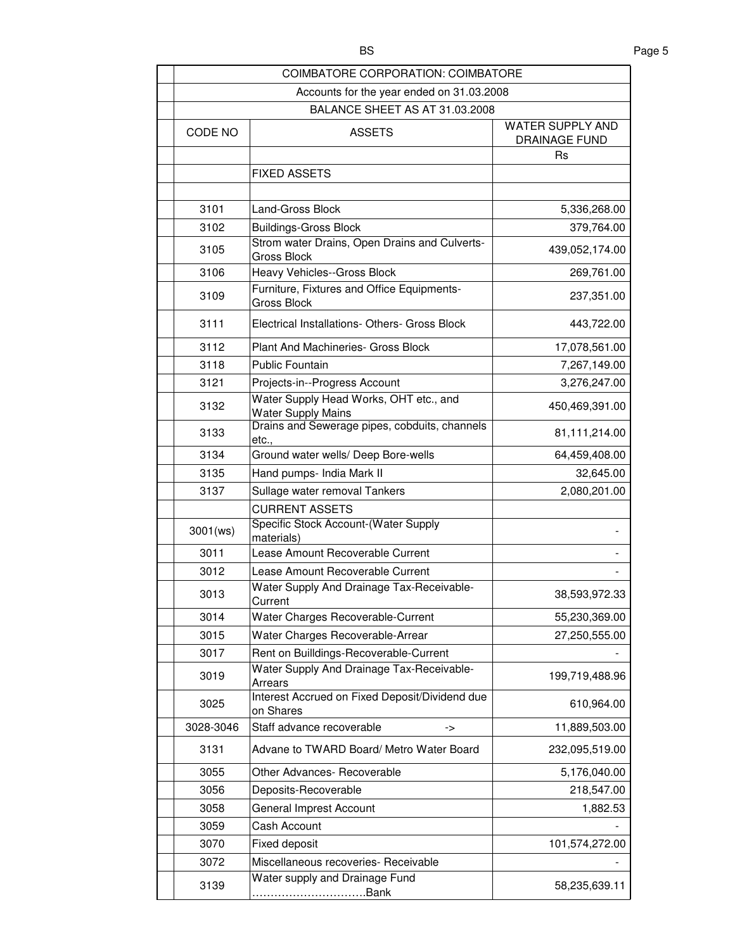| . . |             |    |
|-----|-------------|----|
| ۰.  | ×<br>×<br>× | I  |
|     |             | ۰, |

| COIMBATORE CORPORATION: COIMBATORE        |                                                                     |                                                 |  |  |
|-------------------------------------------|---------------------------------------------------------------------|-------------------------------------------------|--|--|
| Accounts for the year ended on 31.03.2008 |                                                                     |                                                 |  |  |
| BALANCE SHEET AS AT 31.03.2008            |                                                                     |                                                 |  |  |
| CODE NO                                   | <b>ASSETS</b>                                                       | <b>WATER SUPPLY AND</b><br><b>DRAINAGE FUND</b> |  |  |
|                                           |                                                                     | Rs                                              |  |  |
|                                           | <b>FIXED ASSETS</b>                                                 |                                                 |  |  |
|                                           |                                                                     |                                                 |  |  |
| 3101                                      | <b>Land-Gross Block</b>                                             | 5,336,268.00                                    |  |  |
| 3102                                      | <b>Buildings-Gross Block</b>                                        | 379,764.00                                      |  |  |
| 3105                                      | Strom water Drains, Open Drains and Culverts-<br><b>Gross Block</b> | 439,052,174.00                                  |  |  |
| 3106                                      | Heavy Vehicles--Gross Block                                         | 269,761.00                                      |  |  |
| 3109                                      | Furniture, Fixtures and Office Equipments-<br><b>Gross Block</b>    | 237,351.00                                      |  |  |
| 3111                                      | Electrical Installations- Others- Gross Block                       | 443,722.00                                      |  |  |
| 3112                                      | Plant And Machineries- Gross Block                                  | 17,078,561.00                                   |  |  |
| 3118                                      | <b>Public Fountain</b>                                              | 7,267,149.00                                    |  |  |
| 3121                                      | Projects-in--Progress Account                                       | 3,276,247.00                                    |  |  |
| 3132                                      | Water Supply Head Works, OHT etc., and<br><b>Water Supply Mains</b> | 450,469,391.00                                  |  |  |
| 3133                                      | Drains and Sewerage pipes, cobduits, channels<br>etc                | 81,111,214.00                                   |  |  |
| 3134                                      | Ground water wells/ Deep Bore-wells                                 | 64,459,408.00                                   |  |  |
| 3135                                      | Hand pumps- India Mark II                                           | 32,645.00                                       |  |  |
| 3137                                      | Sullage water removal Tankers                                       | 2,080,201.00                                    |  |  |
|                                           | <b>CURRENT ASSETS</b>                                               |                                                 |  |  |
| 3001(ws)                                  | Specific Stock Account-(Water Supply<br>materials)                  |                                                 |  |  |
| 3011                                      | Lease Amount Recoverable Current                                    |                                                 |  |  |
| 3012                                      | Lease Amount Recoverable Current                                    |                                                 |  |  |
| 3013                                      | Water Supply And Drainage Tax-Receivable-<br>Current                | 38,593,972.33                                   |  |  |
| 3014                                      | Water Charges Recoverable-Current                                   | 55,230,369.00                                   |  |  |
| 3015                                      | Water Charges Recoverable-Arrear                                    | 27,250,555.00                                   |  |  |
| 3017                                      | Rent on Builldings-Recoverable-Current                              |                                                 |  |  |
| 3019                                      | Water Supply And Drainage Tax-Receivable-<br>Arrears                | 199,719,488.96                                  |  |  |
| 3025                                      | Interest Accrued on Fixed Deposit/Dividend due<br>on Shares         | 610,964.00                                      |  |  |
| 3028-3046                                 | Staff advance recoverable<br>->                                     | 11,889,503.00                                   |  |  |
| 3131                                      | Advane to TWARD Board/ Metro Water Board                            | 232,095,519.00                                  |  |  |
| 3055                                      | Other Advances- Recoverable                                         | 5,176,040.00                                    |  |  |
| 3056                                      | Deposits-Recoverable                                                | 218,547.00                                      |  |  |
| 3058                                      | General Imprest Account                                             | 1,882.53                                        |  |  |
| 3059                                      | Cash Account                                                        |                                                 |  |  |
| 3070                                      | <b>Fixed deposit</b>                                                | 101,574,272.00                                  |  |  |
| 3072                                      | Miscellaneous recoveries- Receivable                                |                                                 |  |  |
| 3139                                      | Water supply and Drainage Fund<br>Bank                              | 58,235,639.11                                   |  |  |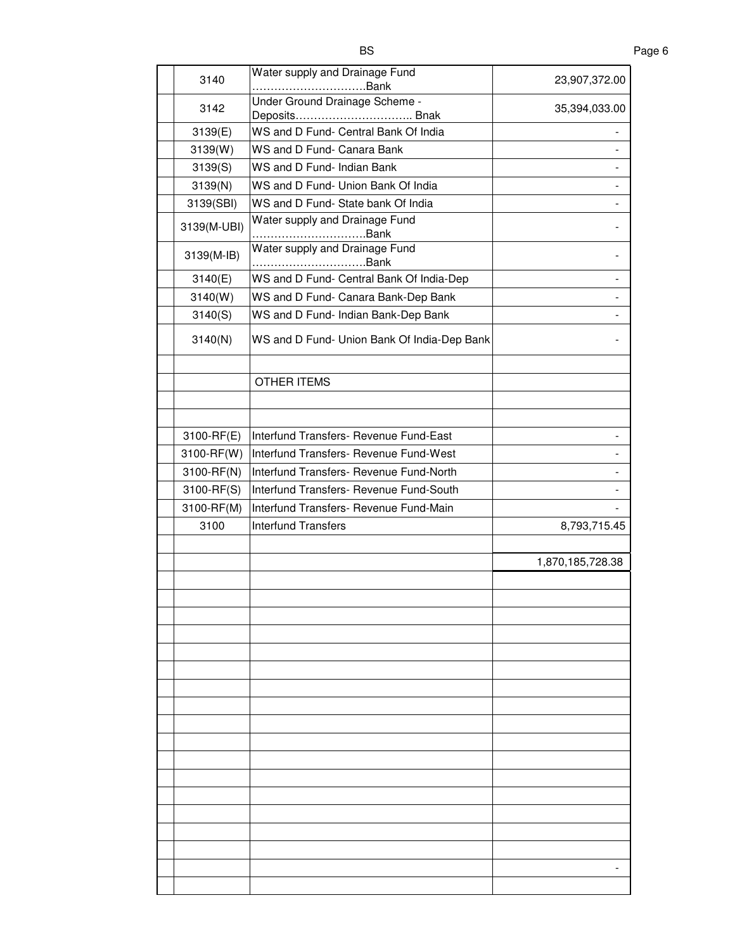| Water supply and Drainage Fund<br>3140<br>Bank<br>Under Ground Drainage Scheme - |                          |
|----------------------------------------------------------------------------------|--------------------------|
|                                                                                  | 23,907,372.00            |
| 3142<br>Deposits Bnak                                                            | 35,394,033.00            |
| WS and D Fund- Central Bank Of India<br>3139(E)                                  |                          |
| WS and D Fund- Canara Bank<br>3139(W)                                            |                          |
| WS and D Fund- Indian Bank<br>3139(S)                                            |                          |
| 3139(N)<br>WS and D Fund- Union Bank Of India                                    |                          |
| 3139(SBI)<br>WS and D Fund- State bank Of India                                  |                          |
| Water supply and Drainage Fund<br>3139(M-UBI)<br>Bank                            |                          |
| Water supply and Drainage Fund<br>3139(M-IB)<br>Bank                             | $\overline{\phantom{a}}$ |
| WS and D Fund- Central Bank Of India-Dep<br>3140(E)                              | $\overline{\phantom{a}}$ |
| 3140(W)<br>WS and D Fund- Canara Bank-Dep Bank                                   |                          |
| 3140(S)<br>WS and D Fund- Indian Bank-Dep Bank                                   |                          |
| 3140(N)<br>WS and D Fund- Union Bank Of India-Dep Bank                           |                          |
| <b>OTHER ITEMS</b>                                                               |                          |
|                                                                                  |                          |
|                                                                                  |                          |
| Interfund Transfers- Revenue Fund-East<br>3100-RF(E)                             |                          |
| 3100-RF(W)<br>Interfund Transfers- Revenue Fund-West                             |                          |
| 3100-RF(N)<br>Interfund Transfers- Revenue Fund-North                            |                          |
| 3100-RF(S)<br>Interfund Transfers- Revenue Fund-South                            |                          |
| 3100-RF(M)<br>Interfund Transfers- Revenue Fund-Main                             |                          |
| 3100<br><b>Interfund Transfers</b>                                               | 8,793,715.45             |
|                                                                                  | 1,870,185,728.38         |
|                                                                                  |                          |
|                                                                                  |                          |
|                                                                                  |                          |
|                                                                                  |                          |
|                                                                                  |                          |
|                                                                                  |                          |
|                                                                                  |                          |
|                                                                                  |                          |
|                                                                                  |                          |
|                                                                                  |                          |
|                                                                                  |                          |
|                                                                                  |                          |
|                                                                                  |                          |
|                                                                                  |                          |
|                                                                                  |                          |
|                                                                                  |                          |
|                                                                                  |                          |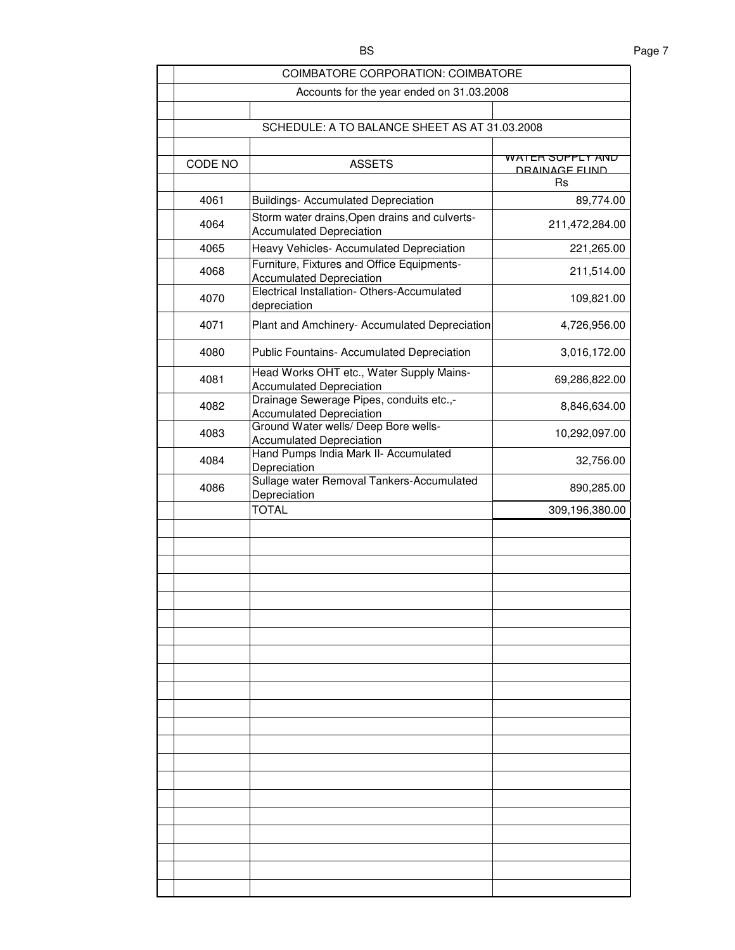| . . | × |         |  |
|-----|---|---------|--|
| ۰.  | × | I<br>۰, |  |

| <b>COIMBATORE CORPORATION: COIMBATORE</b>     |                                                                                  |                                                         |  |  |  |
|-----------------------------------------------|----------------------------------------------------------------------------------|---------------------------------------------------------|--|--|--|
| Accounts for the year ended on 31.03.2008     |                                                                                  |                                                         |  |  |  |
|                                               |                                                                                  |                                                         |  |  |  |
| SCHEDULE: A TO BALANCE SHEET AS AT 31.03.2008 |                                                                                  |                                                         |  |  |  |
| CODE NO                                       | <b>ASSETS</b>                                                                    | <b>WATER SUPPLY AND</b><br><u>DRAINAGE ELIND</u><br>Rs. |  |  |  |
| 4061                                          | <b>Buildings- Accumulated Depreciation</b>                                       | 89,774.00                                               |  |  |  |
| 4064                                          | Storm water drains, Open drains and culverts-<br><b>Accumulated Depreciation</b> | 211,472,284.00                                          |  |  |  |
| 4065                                          | Heavy Vehicles- Accumulated Depreciation                                         | 221,265.00                                              |  |  |  |
| 4068                                          | Furniture, Fixtures and Office Equipments-<br><b>Accumulated Depreciation</b>    | 211,514.00                                              |  |  |  |
| 4070                                          | Electrical Installation-Others-Accumulated<br>depreciation                       | 109,821.00                                              |  |  |  |
| 4071                                          | Plant and Amchinery- Accumulated Depreciation                                    | 4,726,956.00                                            |  |  |  |
| 4080                                          | Public Fountains- Accumulated Depreciation                                       | 3,016,172.00                                            |  |  |  |
| 4081                                          | Head Works OHT etc., Water Supply Mains-<br><b>Accumulated Depreciation</b>      | 69,286,822.00                                           |  |  |  |
| 4082                                          | Drainage Sewerage Pipes, conduits etc.,-<br><b>Accumulated Depreciation</b>      | 8,846,634.00                                            |  |  |  |
| 4083                                          | Ground Water wells/ Deep Bore wells-<br><b>Accumulated Depreciation</b>          | 10,292,097.00                                           |  |  |  |
| 4084                                          | Hand Pumps India Mark II- Accumulated<br>Depreciation                            | 32,756.00                                               |  |  |  |
| 4086                                          | Sullage water Removal Tankers-Accumulated<br>Depreciation                        | 890,285.00                                              |  |  |  |
|                                               | <b>TOTAL</b>                                                                     | 309,196,380.00                                          |  |  |  |
|                                               |                                                                                  |                                                         |  |  |  |
|                                               |                                                                                  |                                                         |  |  |  |
|                                               |                                                                                  |                                                         |  |  |  |
|                                               |                                                                                  |                                                         |  |  |  |
|                                               |                                                                                  |                                                         |  |  |  |
|                                               |                                                                                  |                                                         |  |  |  |
|                                               |                                                                                  |                                                         |  |  |  |
|                                               |                                                                                  |                                                         |  |  |  |
|                                               |                                                                                  |                                                         |  |  |  |
|                                               |                                                                                  |                                                         |  |  |  |
|                                               |                                                                                  |                                                         |  |  |  |
|                                               |                                                                                  |                                                         |  |  |  |
|                                               |                                                                                  |                                                         |  |  |  |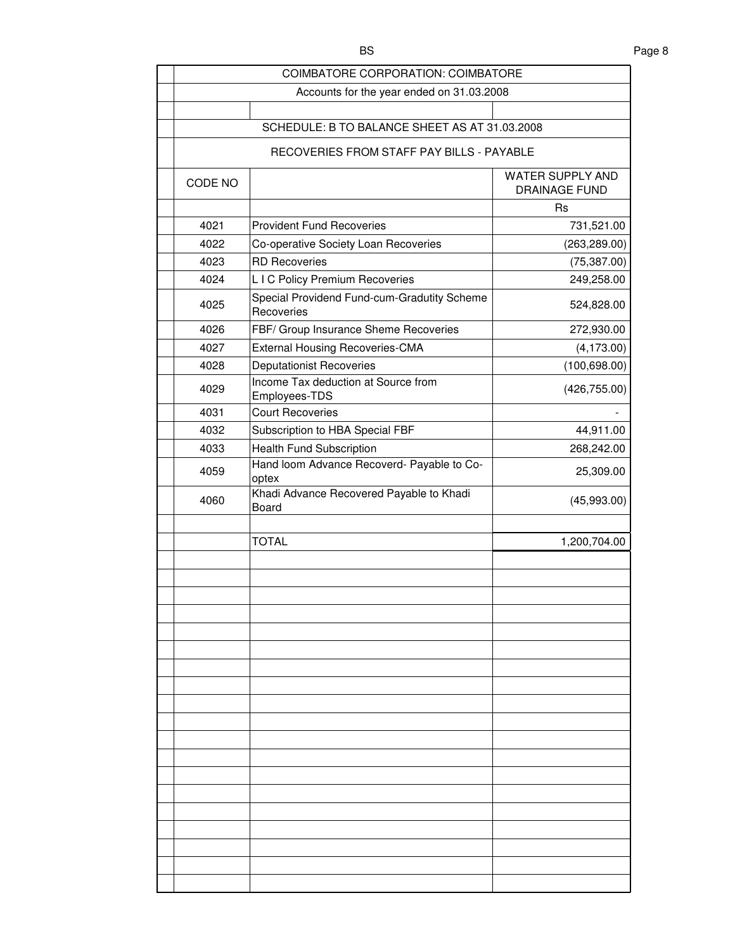| . .    |        |    |
|--------|--------|----|
| I<br>I | ×<br>× | I  |
|        |        | ۰, |

| COIMBATORE CORPORATION: COIMBATORE            |                                                           |                                          |  |  |  |
|-----------------------------------------------|-----------------------------------------------------------|------------------------------------------|--|--|--|
| Accounts for the year ended on 31.03.2008     |                                                           |                                          |  |  |  |
| SCHEDULE: B TO BALANCE SHEET AS AT 31.03.2008 |                                                           |                                          |  |  |  |
| RECOVERIES FROM STAFF PAY BILLS - PAYABLE     |                                                           |                                          |  |  |  |
| CODE NO                                       |                                                           | WATER SUPPLY AND<br><b>DRAINAGE FUND</b> |  |  |  |
|                                               |                                                           | Rs                                       |  |  |  |
| 4021                                          | <b>Provident Fund Recoveries</b>                          | 731,521.00                               |  |  |  |
| 4022                                          | Co-operative Society Loan Recoveries                      | (263, 289.00)                            |  |  |  |
| 4023                                          | <b>RD</b> Recoveries                                      | (75, 387.00)                             |  |  |  |
| 4024                                          | L I C Policy Premium Recoveries                           | 249,258.00                               |  |  |  |
| 4025                                          | Special Providend Fund-cum-Gradutity Scheme<br>Recoveries | 524,828.00                               |  |  |  |
| 4026                                          | FBF/ Group Insurance Sheme Recoveries                     | 272,930.00                               |  |  |  |
| 4027                                          | <b>External Housing Recoveries-CMA</b>                    | (4, 173.00)                              |  |  |  |
| 4028                                          | <b>Deputationist Recoveries</b>                           | (100, 698.00)                            |  |  |  |
| 4029                                          | Income Tax deduction at Source from<br>Employees-TDS      | (426, 755.00)                            |  |  |  |
| 4031                                          | <b>Court Recoveries</b>                                   |                                          |  |  |  |
| 4032                                          | Subscription to HBA Special FBF                           | 44,911.00                                |  |  |  |
| 4033                                          | <b>Health Fund Subscription</b>                           | 268,242.00                               |  |  |  |
| 4059                                          | Hand loom Advance Recoverd- Payable to Co-<br>optex       | 25,309.00                                |  |  |  |
| 4060                                          | Khadi Advance Recovered Payable to Khadi<br>Board         | (45,993.00)                              |  |  |  |
|                                               | <b>TOTAL</b>                                              | 1,200,704.00                             |  |  |  |
|                                               |                                                           |                                          |  |  |  |
|                                               |                                                           |                                          |  |  |  |
|                                               |                                                           |                                          |  |  |  |
|                                               |                                                           |                                          |  |  |  |
|                                               |                                                           |                                          |  |  |  |
|                                               |                                                           |                                          |  |  |  |
|                                               |                                                           |                                          |  |  |  |
|                                               |                                                           |                                          |  |  |  |
|                                               |                                                           |                                          |  |  |  |
|                                               |                                                           |                                          |  |  |  |
|                                               |                                                           |                                          |  |  |  |
|                                               |                                                           |                                          |  |  |  |
|                                               |                                                           |                                          |  |  |  |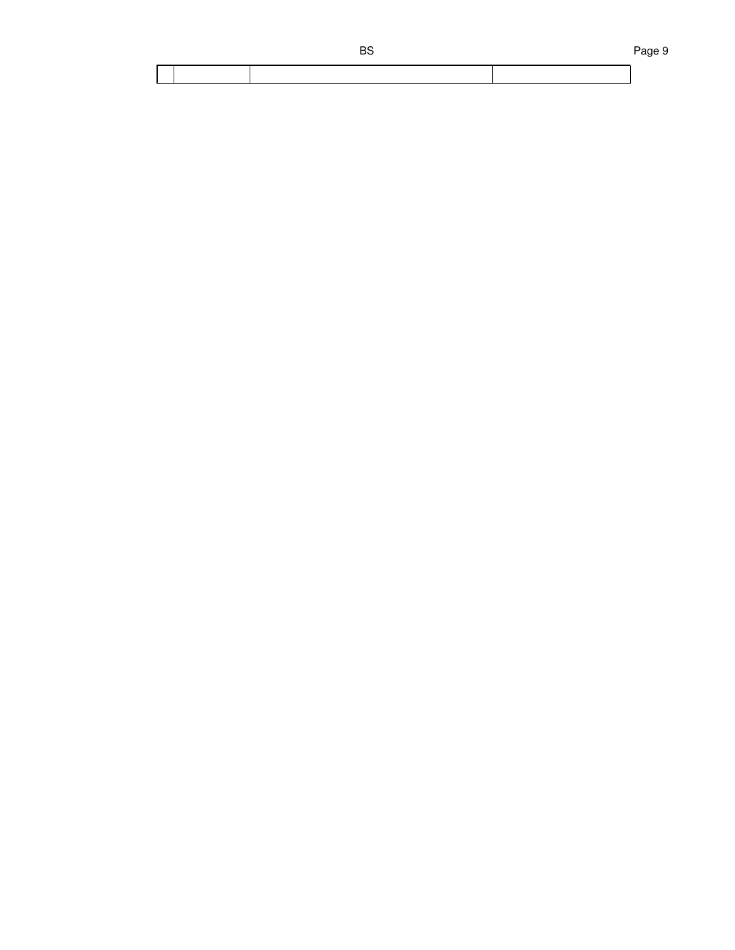|  | ∽.<br>טט |  | Page 9 |
|--|----------|--|--------|
|  |          |  |        |